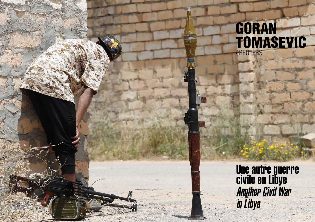

## GORAN TOMASEVIC / REUTERS

Une autre guerre civile en Libye **Another Civil War** in Libya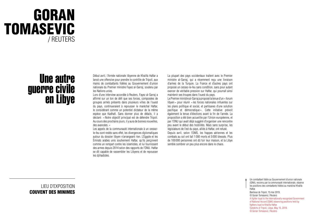## GORAN TOMASEVIC / REUTERS

## Une autre guerre civile<br>en Libye

LIEU D'EXPOSITION COUVENT DES MINIMES Début avril, l'Armée nationale libyenne de Khalifa Haftar a lancé une offensive pour prendre le contrôle de Tripoli, aux mains de combattants fidèles au Gouvernement d'union nationale du Premier ministre Fayez al-Sarraj, soutenu par les Nations unies.

Lors d'une interview accordée à Reuters, Fayez al-Sarraj a affirmé sur un ton de défi que ses forces, composées de groupes armés présents dans plusieurs villes de l'ouest du pays, continueraient à repousser le maréchal Haftar, le considérant comme un potentiel dictateur de la même espèce que Kadhafi. Sans donner plus de détails, il a déclaré: «Notre objectif principal est de défendre Tripoli. Au cours des prochains jours, il y aura de bonnes nouvelles, des avancées. »

Les appels de la communauté internationale à un cessezle-feu sont restés sans effet, les divergences diplomatiques autour du dossier libyen n'arrangeant rien. L'Égypte et les Émirats arabes unis soutiennent Haftar, qu'ils perçoivent comme un rempart contre les islamistes, et lui fournissent des armes depuis 2014 selon des rapports de l'ONU. Haftar se dit capable de rassembler les Libyens et de repousser les djihadistes.

Le Premier ministre al-Sarraj a proposé la tenue d'un « forum libyen » pour réunir «les forces nationales influentes sur les plans politique et social, et partisanes d'une solution pacifique et démocratique ». Cette initiative prévoit également la tenue d'élections avant la fin de l'année. La proposition a été bien accueillie par l'Union européenne, et par l'ONU qui avait déjà suggéré d'organiser une rencontre peu avant le début des hostilités. Mais sans surprise, les législateurs de l'est du pays, alliés à Haftar, ont refusé. Depuis avril, selon l'OMS, les frappes aériennes et les combats au sol ont fait 1 000 morts et 5 000 blessés. Plus de 100 000 personnes ont dû fuir leur maison, et la Libye semble sombrer un peu plus encore dans le chaos.

La plupart des pays occidentaux traitent avec le Premier ministre al-Sarraj, qui a récemment reçu une livraison d'armes de la Turquie. La France et d'autres pays ont proposé un cessez-le-feu sans condition, sans pour autant exercer de véritable pression sur Haftar, qui pourrait ainsi maintenir ses troupes dans l'ouest du pays.

> Un combattant fidèle au Gouvernement d'union nationale (GNA), reconnu par la communauté internationale, observe les positions des combattants fidèles au maréchal Khalifa Haftar. Banlieue de Tripoli, 15 mai 2019. © Goran Tomasevic / Reuters A fighter loyal to the internationally recognized Government of National Accord [GNA] observing positions held by fighters loyal to Khalifa Haftar. Outskirts of Tripoli, Libya, May 15, 2019. © Goran Tomasevic / Reuters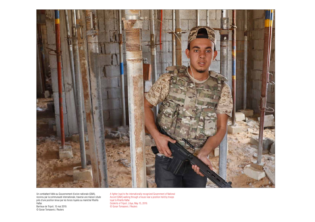

Un combattant fidèle au Gouvernement d'union nationale (GNA), reconnu par la communauté internationale, traverse une maison située près d'une position tenue par les forces loyales au maréchal Khalifa Haftar. Banlieue de Tripoli, 15 mai 2019. © Goran Tomasevic / Reuters

A fighter loyal to the internationally recognized Government of National Accord [GNA] walking through a house near a position held by troops loyal to Khalifa Haftar. Outskirts of Tripoli, Libya, May 15, 2019. © Goran Tomasevic / Reuters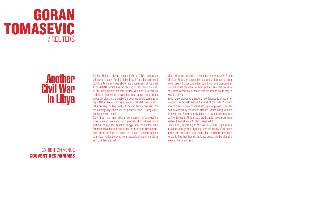

## Another Civil War in Libya

EXHIBITION VENUE COUVENT DES MINIMES

Khalifa Haftar's Libyan National Army (LNA) began an offensive in early April to take Tripoli from fighters loyal to Prime Minister Fayez al-Serraj's Government of National Accord (GNA) which has the backing of the United Nations. In an interview with Reuters, Prime Minister Serraj struck a defiant tone when he said that his troops, from armed groups in cities in the west of the country, would continue to repel Haftar, seeing him as a potential Gaddafi-like dictator. "Our primary military goal is to defend Tripoli," he said. "In the coming days there will be positive news… progress," but he gave no details.

Calls from the international community for a ceasefire have fallen on deaf ears, and diplomatic discord over Libya has not helped the situation. Egypt and the United Arab Emirates have backed Haftar and, according to UN reports, have been arming him since 2014 as a bastion against Islamists. Haftar believes he is capable of reuniting Libya and countering jihadists.

Most Western countries have been working with Prime Minister Serraj, who recently received a shipment of arms from Turkey. France and other countries have proposed an unconditional ceasefire, without putting any real pressure on Haftar, which would mean that his troops could stay in western Libya.

Serraj also proposed a national conference to prepare for elections to be held before the end of the year: "Libyans should meet to overcome this struggle for power." The idea was welcomed by the United Nations, which had proposed its own such forum shortly before the war broke out, and by the European Union, but, predictably, lawmakers from eastern Libya allied with Haftar rejected it.

Since April, according to the World Health Organization, airstrikes and ground fighting have left nearly 1,000 dead and 5,000 wounded, and more than 100,000 have been forced to flee their homes, as Libya appears to be plunging even further into chaos.